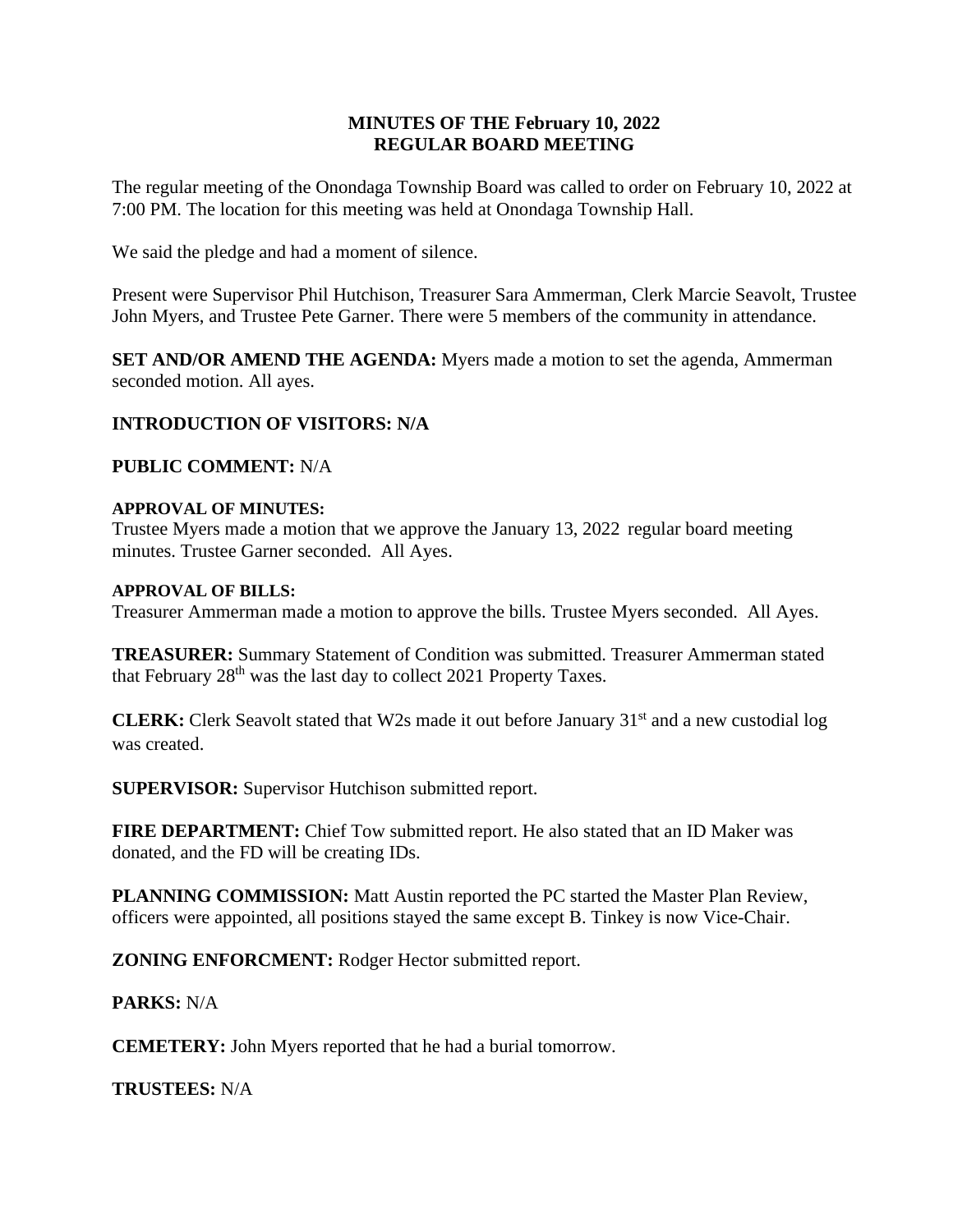# **MINUTES OF THE February 10, 2022 REGULAR BOARD MEETING**

The regular meeting of the Onondaga Township Board was called to order on February 10, 2022 at 7:00 PM. The location for this meeting was held at Onondaga Township Hall.

We said the pledge and had a moment of silence.

Present were Supervisor Phil Hutchison, Treasurer Sara Ammerman, Clerk Marcie Seavolt, Trustee John Myers, and Trustee Pete Garner. There were 5 members of the community in attendance.

**SET AND/OR AMEND THE AGENDA:** Myers made a motion to set the agenda, Ammerman seconded motion. All ayes.

# **INTRODUCTION OF VISITORS: N/A**

**PUBLIC COMMENT:** N/A

## **APPROVAL OF MINUTES:**

Trustee Myers made a motion that we approve the January 13, 2022 regular board meeting minutes. Trustee Garner seconded. All Ayes.

#### **APPROVAL OF BILLS:**

Treasurer Ammerman made a motion to approve the bills. Trustee Myers seconded. All Ayes.

**TREASURER:** Summary Statement of Condition was submitted. Treasurer Ammerman stated that February  $28<sup>th</sup>$  was the last day to collect 2021 Property Taxes.

**CLERK:** Clerk Seavolt stated that W2s made it out before January 31<sup>st</sup> and a new custodial log was created.

**SUPERVISOR:** Supervisor Hutchison submitted report.

**FIRE DEPARTMENT:** Chief Tow submitted report. He also stated that an ID Maker was donated, and the FD will be creating IDs.

**PLANNING COMMISSION:** Matt Austin reported the PC started the Master Plan Review, officers were appointed, all positions stayed the same except B. Tinkey is now Vice-Chair.

**ZONING ENFORCMENT:** Rodger Hector submitted report.

## **PARKS:** N/A

**CEMETERY:** John Myers reported that he had a burial tomorrow.

**TRUSTEES:** N/A